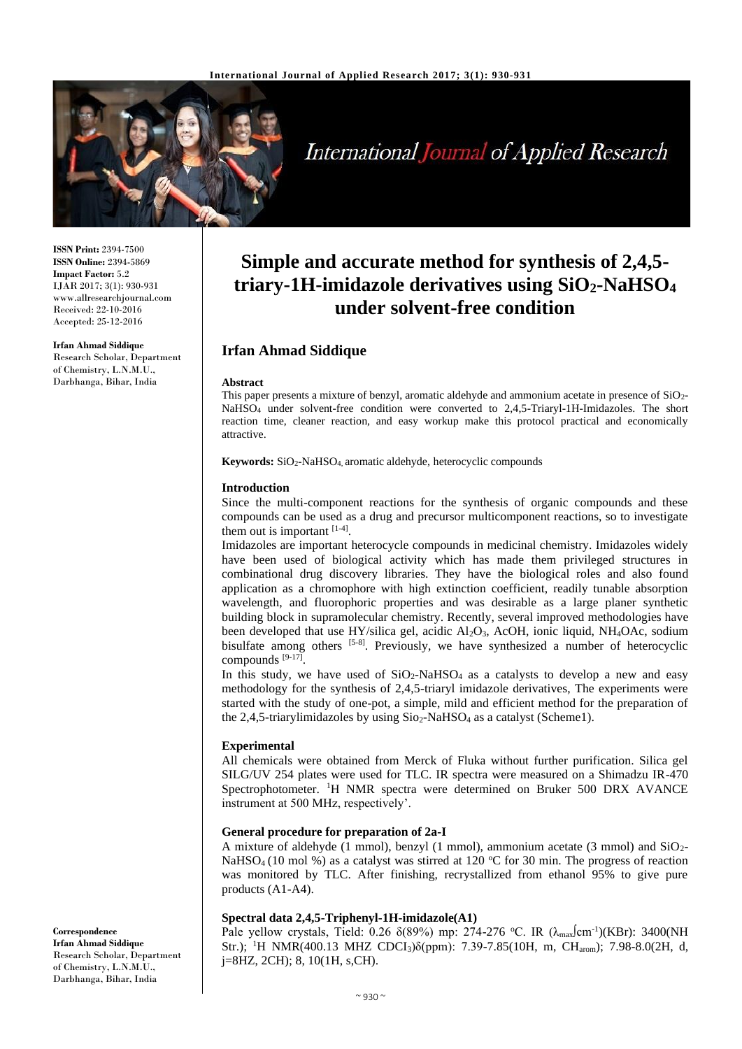

# **International Journal of Applied Research**

**ISSN Print:** 2394-7500 **ISSN Online:** 2394-5869 **Impact Factor:** 5.2 IJAR 2017; 3(1): 930-931 www.allresearchjournal.com Received: 22-10-2016 Accepted: 25-12-2016

**Irfan Ahmad Siddique** Research Scholar, Department of Chemistry, L.N.M.U., Darbhanga, Bihar, India

# **Simple and accurate method for synthesis of 2,4,5 triary-1H-imidazole derivatives using SiO2-NaHSO<sup>4</sup> under solvent-free condition**

# **Irfan Ahmad Siddique**

#### **Abstract**

This paper presents a mixture of benzyl, aromatic aldehyde and ammonium acetate in presence of SiO2- NaHSO<sup>4</sup> under solvent-free condition were converted to 2,4,5-Triaryl-1H-Imidazoles. The short reaction time, cleaner reaction, and easy workup make this protocol practical and economically attractive.

**Keywords:** SiO2-NaHSO4, aromatic aldehyde, heterocyclic compounds

### **Introduction**

Since the multi-component reactions for the synthesis of organic compounds and these compounds can be used as a drug and precursor multicomponent reactions, so to investigate them out is important  $[1-4]$ .

Imidazoles are important heterocycle compounds in medicinal chemistry. Imidazoles widely have been used of biological activity which has made them privileged structures in combinational drug discovery libraries. They have the biological roles and also found application as a chromophore with high extinction coefficient, readily tunable absorption wavelength, and fluorophoric properties and was desirable as a large planer synthetic building block in supramolecular chemistry. Recently, several improved methodologies have been developed that use HY/silica gel, acidic Al2O3, AcOH, ionic liquid, NH4OAc, sodium bisulfate among others [5-8]. Previously, we have synthesized a number of heterocyclic compounds [9-17].

In this study, we have used of  $SiO<sub>2</sub>-NaHSO<sub>4</sub>$  as a catalysts to develop a new and easy methodology for the synthesis of 2,4,5-triaryl imidazole derivatives, The experiments were started with the study of one-pot, a simple, mild and efficient method for the preparation of the 2,4,5-triarylimidazoles by using  $Si_{2}$ -NaHSO<sub>4</sub> as a catalyst (Scheme1).

# **Experimental**

All chemicals were obtained from Merck of Fluka without further purification. Silica gel SILG/UV 254 plates were used for TLC. IR spectra were measured on a Shimadzu IR-470 Spectrophotometer. <sup>1</sup>H NMR spectra were determined on Bruker 500 DRX AVANCE instrument at 500 MHz, respectively'.

# **General procedure for preparation of 2a-I**

A mixture of aldehyde (1 mmol), benzyl (1 mmol), ammonium acetate (3 mmol) and  $SiO<sub>2</sub>$ -NaHSO<sub>4</sub> (10 mol %) as a catalyst was stirred at 120 °C for 30 min. The progress of reaction was monitored by TLC. After finishing, recrystallized from ethanol 95% to give pure products (A1-A4).

# **Spectral data 2,4,5-Triphenyl-1H-imidazole(A1)**

Pale yellow crystals, Tield: 0.26  $\delta(89\%)$  mp: 274-276 °C. IR ( $\lambda_{\text{max}}$ Cm<sup>-1</sup>)(KBr): 3400(NH Str.); <sup>1</sup>H NMR(400.13 MHZ CDCI<sub>3</sub>)δ(ppm): 7.39-7.85(10H, m, CH<sub>arom</sub>); 7.98-8.0(2H, d, j=8HZ, 2CH); 8, 10(1H, s,CH).

**Correspondence Irfan Ahmad Siddique** Research Scholar, Department of Chemistry, L.N.M.U., Darbhanga, Bihar, India